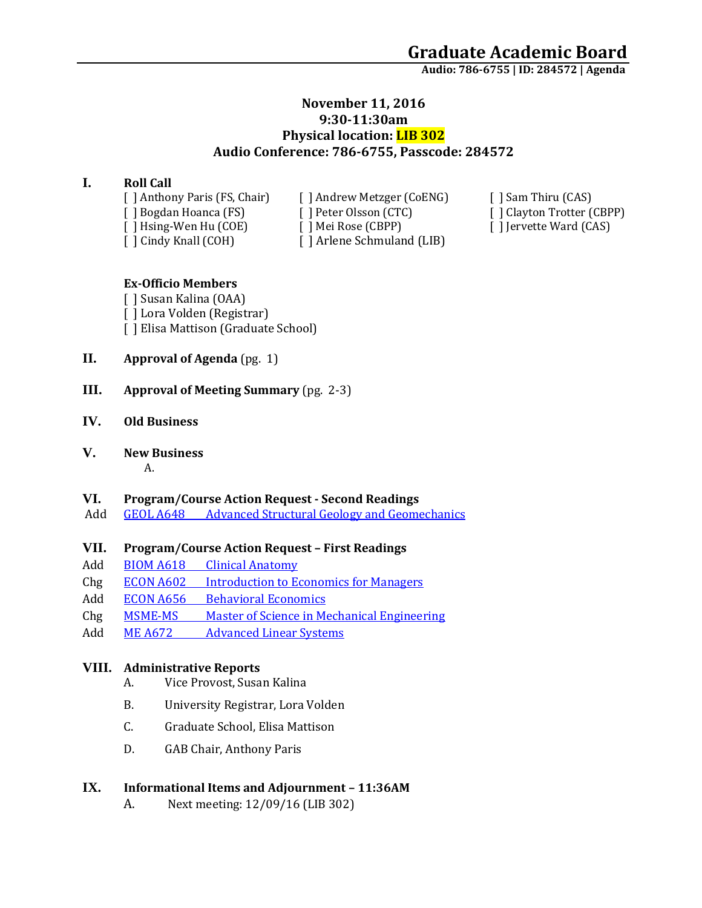**Audio: 786-6755 | ID: 284572 <sup>|</sup> Agenda**

# **November 11, 2016 9:30-11:30am Physical location: LIB 302 Audio Conference: 786-6755, Passcode: 284572**

### **I. Roll Call**

[ ] Cindy Knall (COH) [ ] Arlene Schmuland (LIB)

[ ] Anthony Paris (FS, Chair) [ ] Andrew Metzger (CoENG) [ ] Sam Thiru (CAS) [ ] Bogdan Hoanca (FS) [ ] Peter Olsson (CTC) [ ] Clayton Trotter (CBPP) [ ] Hsing-Wen Hu (COE) [ ] Mei Rose (CBPP) [ ] ] [ ] Jervette Ward (CAS) [ ] Hsing-Wen Hu (COE) [ ] Mei Rose (CBPP) [ ] Jervette Ward (CAS)

### **Ex-Officio Members**

[ ] Susan Kalina (OAA) [ ] Lora Volden (Registrar) [ ] Elisa Mattison (Graduate School)

- **II. Approval of Agenda** (pg. 1)
- **III. Approval of Meeting Summary** (pg. 2-3)

#### **IV. Old Business**

### **V. New Business**

#### A.

#### **VI. Program/Course Action Request - Second Readings**

Add **GEOL A648** [Advanced Structural Geology and Geomechanics](https://nextcatalog.uaa.alaska.edu/courseleaf/courseleaf.cgi?page=/courseadmin/7547/index.html&step=tcadiff)

# **VII. Program/Course Action Request – First Readings**

- Add BIOM A618 [Clinical Anatomy](https://nextcatalog.uaa.alaska.edu/courseleaf/courseleaf.cgi?page=/courseadmin/7638/index.html&step=tcadiff)
- Chg ECON A602 [Introduction to Economics for Managers](https://nextcatalog.uaa.alaska.edu/courseleaf/courseleaf.cgi?page=/courseadmin/2259/index.html&step=tcadiff)
- Add ECON A656 [Behavioral Economics](https://nextcatalog.uaa.alaska.edu/courseleaf/courseleaf.cgi?page=/courseadmin/7341/index.html&step=tcadiff)
- Chg MSME-MS [Master of Science in Mechanical Engineering](https://nextcatalog.uaa.alaska.edu/courseleaf/courseleaf.cgi?page=/programadmin/32/index.html&step=tcadiff)
- Add ME A672 [Advanced Linear Systems](https://nextcatalog.uaa.alaska.edu/courseleaf/courseleaf.cgi?page=/courseadmin/6293/index.html&step=tcadiff)

# **VIII. Administrative Reports**

- A. Vice Provost, Susan Kalina
- B. University Registrar, Lora Volden
- C. Graduate School, Elisa Mattison
- D. GAB Chair, Anthony Paris

# **IX. Informational Items and Adjournment – 11:36AM**

A. Next meeting: 12/09/16 (LIB 302)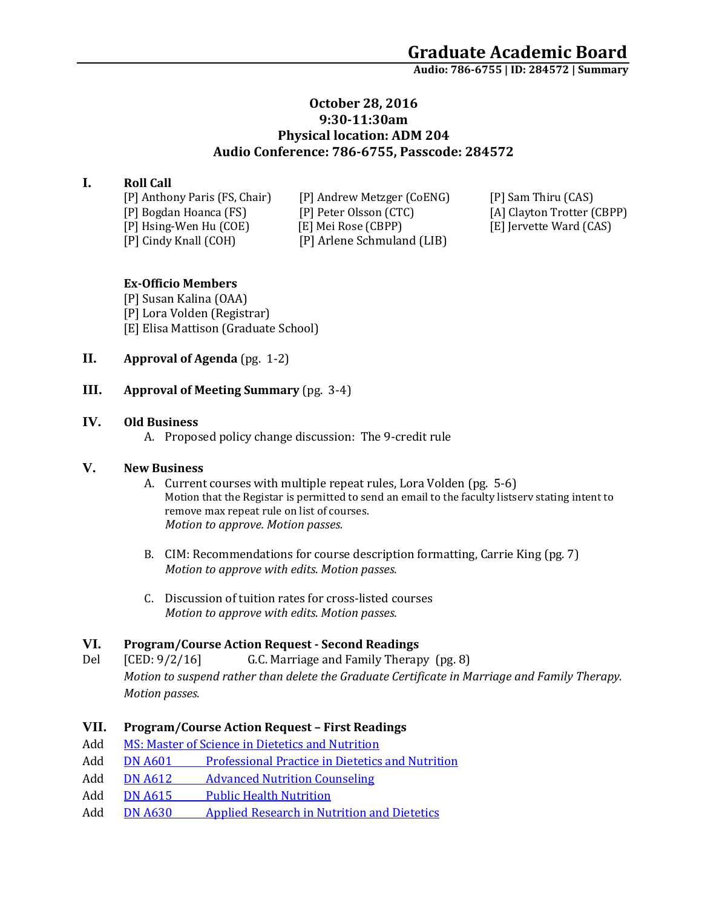**Audio: 786-6755 | ID: 284572 <sup>|</sup> Summary**

# **October 28, 2016 9:30-11:30am Physical location: ADM 204 Audio Conference: 786-6755, Passcode: 284572**

# **I. Roll Call**

[P] Anthony Paris (FS, Chair) [P] Andrew Metzger (CoENG) [P] Sam Thiru (CAS) [P] Bogdan Hoanca (FS) [P] Peter Olsson (CTC) [A] Clayton Trotter (CBPP) [P] Hsing-Wen Hu (COE) [E] Mei Rose (CBPP) [E] Jervette Ward (CAS) [P] Cindy Knall (COH) [P] Arlene Schmuland (LIB)

# **Ex-Officio Members**

[P] Susan Kalina (OAA) [P] Lora Volden (Registrar) [E] Elisa Mattison (Graduate School)

**II. Approval of Agenda** (pg. 1-2)

#### **III. Approval of Meeting Summary** (pg. 3-4)

#### **IV. Old Business**

A. Proposed policy change discussion: The 9-credit rule

#### **V. New Business**

- A. Current courses with multiple repeat rules, Lora Volden (pg. 5-6) Motion that the Registar is permitted to send an email to the faculty listserv stating intent to remove max repeat rule on list of courses. *Motion to approve. Motion passes.*
- B. CIM: Recommendations for course description formatting, Carrie King (pg. 7) *Motion to approve with edits. Motion passes.*
- C. Discussion of tuition rates for cross-listed courses *Motion to approve with edits. Motion passes.*

#### **VI. Program/Course Action Request - Second Readings**

Del [CED: 9/2/16] G.C. Marriage and Family Therapy (pg. 8) *Motion to suspend rather than delete the Graduate Certificate in Marriage and Family Therapy. Motion passes.* 

#### **VII. Program/Course Action Request – First Readings**

- Add [MS: Master of Science in Dietetics and Nutrition](https://nextcatalog.uaa.alaska.edu/courseleaf/courseleaf.cgi?page=/programadmin/286/index.html&step=tcadiff)
- Add DN A601 [Professional Practice in Dietetics and Nutrition](https://nextcatalog.uaa.alaska.edu/courseleaf/courseleaf.cgi?page=/courseadmin/7680/index.html&step=tcadiff)
- Add DN A612 [Advanced Nutrition Counseling](https://nextcatalog.uaa.alaska.edu/courseleaf/courseleaf.cgi?page=/courseadmin/7645/index.html&step=tcadiff)
- Add DN A615 [Public Health Nutrition](https://nextcatalog.uaa.alaska.edu/courseleaf/courseleaf.cgi?page=/courseadmin/7585/index.html&step=tcadiff)
- Add DN A630 [Applied Research in Nutrition and Dietetics](https://nextcatalog.uaa.alaska.edu/courseleaf/courseleaf.cgi?page=/courseadmin/7621/index.html&step=tcadiff)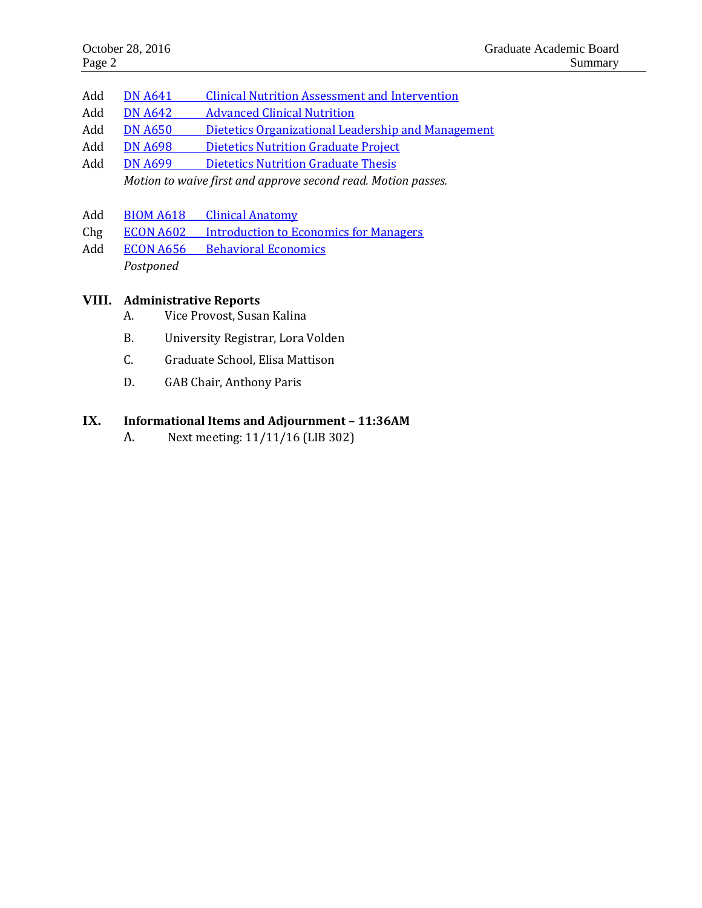- Add DN A641 [Clinical Nutrition Assessment and Intervention](https://nextcatalog.uaa.alaska.edu/courseleaf/courseleaf.cgi?page=/courseadmin/7681/index.html&step=tcadiff)
- Add DN A642 [Advanced Clinical Nutrition](https://nextcatalog.uaa.alaska.edu/courseleaf/courseleaf.cgi?page=/courseadmin/7682/index.html&step=tcadiff)
- Add DN A650 [Dietetics Organizational Leadership and Management](https://nextcatalog.uaa.alaska.edu/courseleaf/courseleaf.cgi?page=/courseadmin/7646/index.html&step=tcadiff)
- Add DN A698 [Dietetics Nutrition Graduate Project](https://nextcatalog.uaa.alaska.edu/courseleaf/courseleaf.cgi?page=/courseadmin/7603/index.html&step=tcadiff)
- Add DN A699 [Dietetics Nutrition Graduate Thesis](https://nextcatalog.uaa.alaska.edu/courseleaf/courseleaf.cgi?page=/courseadmin/7602/index.html&step=tcadiff) *Motion to waive first and approve second read. Motion passes.*
- Add BIOM A618 [Clinical Anatomy](https://nextcatalog.uaa.alaska.edu/courseleaf/courseleaf.cgi?page=/courseadmin/7638/index.html&step=tcadiff)
- Chg ECON A602 [Introduction to Economics for Managers](https://nextcatalog.uaa.alaska.edu/courseleaf/courseleaf.cgi?page=/courseadmin/2259/index.html&step=tcadiff)
- Add ECON A656 [Behavioral Economics](https://nextcatalog.uaa.alaska.edu/courseleaf/courseleaf.cgi?page=/courseadmin/7341/index.html&step=tcadiff) *Postponed*

#### **VIII. Administrative Reports**

- A. Vice Provost, Susan Kalina
- B. University Registrar, Lora Volden
- C. Graduate School, Elisa Mattison
- D. GAB Chair, Anthony Paris

#### **IX. Informational Items and Adjournment – 11:36AM**

A. Next meeting: 11/11/16 (LIB 302)